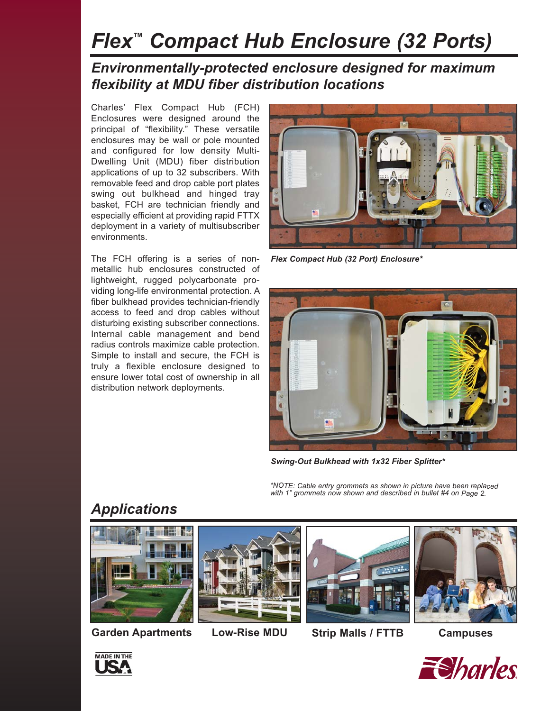# *Flex™ Compact Hub Enclosure (32 Ports)*

#### *Environmentally-protected enclosure designed for maximum flexibility at MDU fiber distribution locations*

Charles' Flex Compact Hub (FCH) Enclosures were designed around the principal of "flexibility." These versatile enclosures may be wall or pole mounted and configured for low density Multi-Dwelling Unit (MDU) fiber distribution applications of up to 32 subscribers. With removable feed and drop cable port plates swing out bulkhead and hinged tray basket, FCH are technician friendly and especially efficient at providing rapid FTTX deployment in a variety of multisubscriber environments.

The FCH offering is a series of nonmetallic hub enclosures constructed of lightweight, rugged polycarbonate providing long-life environmental protection. A fiber bulkhead provides technician-friendly access to feed and drop cables without disturbing existing subscriber connections. Internal cable management and bend radius controls maximize cable protection. Simple to install and secure, the FCH is truly a flexible enclosure designed to ensure lower total cost of ownership in all distribution network deployments.



*Flex Compact Hub (32 Port) Enclosure\**



*Swing-Out Bulkhead with 1x32 Fiber Splitter\**

*\*NOTE: Cable entry grommets as shown in picture have been replaced with 1" grommets now shown and described in bullet #4 on Page 2.*

#### *Applications*









**Garden Apartments Low-Rise MDU Strip Malls / FTTB Campuses**



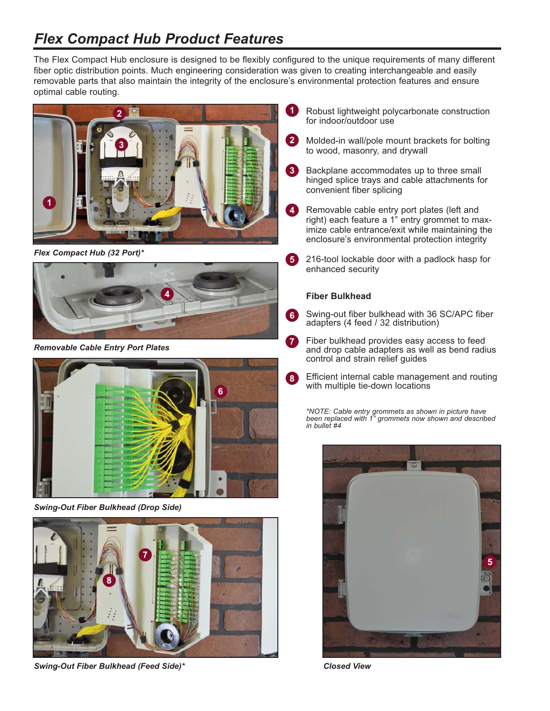## *Flex Compact Hub Product Features*

The Flex Compact Hub enclosure is designed to be flexibly configured to the unique requirements of many different fiber optic distribution points. Much engineering consideration was given to creating interchangeable and easily removable parts that also maintain the integrity of the enclosure's environmental protection features and ensure optimal cable routing.



*Flex Compact Hub (32 Port)\**



*Removable Cable Entry Port Plates*



*Swing-Out Fiber Bulkhead (Drop Side)*



*Swing-Out Fiber Bulkhead (Feed Side)\**

- Robust lightweight polycarbonate construction for indoor/outdoor use **1**
- Molded-in wall/pole mount brackets for bolting to wood, masonry, and drywall **2**
- Backplane accommodates up to three small hinged splice trays and cable attachments for convenient fiber splicing **3**
- Removable cable entry port plates (left and right) each feature a 1" entry grommet to maximize cable entrance/exit while maintaining the enclosure's environmental protection integrity **4**
- 216-tool lockable door with a padlock hasp for enhanced security **5**

#### **Fiber Bulkhead**

- Swing-out fiber bulkhead with 36 SC/APC fiber adapters (4 feed / 32 distribution) **6**
- Fiber bulkhead provides easy access to feed and drop cable adapters as well as bend radius control and strain relief guides **7**
- Efficient internal cable management and routing with multiple tie-down locations **8**

*\*NOTE: Cable entry grommets as shown in picture have been replaced with 1" grommets now shown and described in bullet #4* 

**5**

*Closed View*